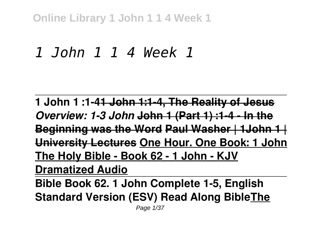**Online Library 1 John 1 1 4 Week 1**

# *1 John 1 1 4 Week 1*

**1 John 1 :1-41 John 1:1-4, The Reality of Jesus** *Overview: 1-3 John* **John 1 (Part 1) :1-4 - In the Beginning was the Word Paul Washer | 1John 1 | University Lectures One Hour. One Book: 1 John The Holy Bible - Book 62 - 1 John - KJV Dramatized Audio Bible Book 62. 1 John Complete 1-5, English**

**Standard Version (ESV) Read Along BibleThe**

Page 1/37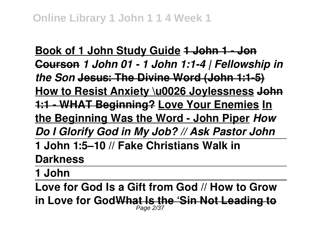**Book of 1 John Study Guide 1 John 1 - Jon Courson** *1 John 01 - 1 John 1:1-4 | Fellowship in the Son* **Jesus: The Divine Word (John 1:1-5) How to Resist Anxiety \u0026 Joylessness John 1:1 - WHAT Beginning? Love Your Enemies In the Beginning Was the Word - John Piper** *How Do I Glorify God in My Job? // Ask Pastor John* **1 John 1:5–10 // Fake Christians Walk in Darkness**

**1 John**

**Love for God Is a Gift from God // How to Grow in Love for GodWhat Is the 'Sin Not Leading to** Page 2/37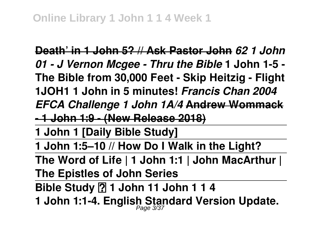**Death' in 1 John 5? // Ask Pastor John** *62 1 John 01 - J Vernon Mcgee - Thru the Bible* **1 John 1-5 - The Bible from 30,000 Feet - Skip Heitzig - Flight 1JOH1 1 John in 5 minutes!** *Francis Chan 2004 EFCA Challenge 1 John 1A/4* **Andrew Wommack**

**- 1 John 1:9 - (New Release 2018)**

**1 John 1 [Daily Bible Study]**

**1 John 1:5–10 // How Do I Walk in the Light?**

**The Word of Life | 1 John 1:1 | John MacArthur | The Epistles of John Series**

**Bible Study 2 1 John 11 John 1 1 4** 

**1 John 1:1-4. English Standard Version Update.** Page 3/37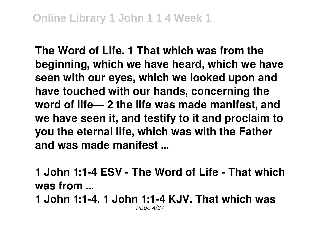**The Word of Life. 1 That which was from the beginning, which we have heard, which we have seen with our eyes, which we looked upon and have touched with our hands, concerning the word of life— 2 the life was made manifest, and we have seen it, and testify to it and proclaim to you the eternal life, which was with the Father and was made manifest ...**

**1 John 1:1-4 ESV - The Word of Life - That which was from ...**

**1 John 1:1-4. 1 John 1:1-4 KJV. That which was** Page 4/37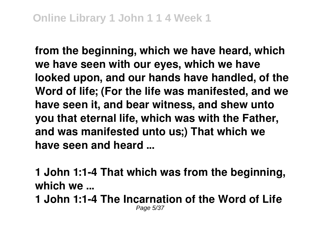**from the beginning, which we have heard, which we have seen with our eyes, which we have looked upon, and our hands have handled, of the Word of life; (For the life was manifested, and we have seen it, and bear witness, and shew unto you that eternal life, which was with the Father, and was manifested unto us;) That which we have seen and heard ...**

**1 John 1:1-4 That which was from the beginning, which we ...**

**1 John 1:1-4 The Incarnation of the Word of Life** Page 5/37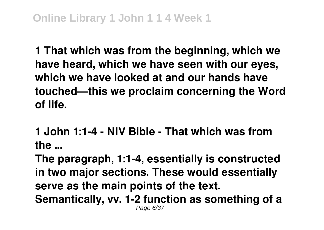**1 That which was from the beginning, which we have heard, which we have seen with our eyes, which we have looked at and our hands have touched—this we proclaim concerning the Word of life.**

**1 John 1:1-4 - NIV Bible - That which was from the ...**

**The paragraph, 1:1-4, essentially is constructed in two major sections. These would essentially serve as the main points of the text. Semantically, vv. 1-2 function as something of a** Page 6/37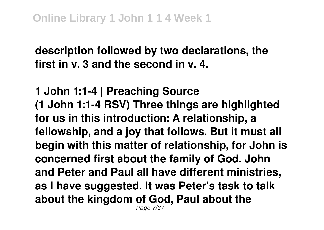**description followed by two declarations, the first in v. 3 and the second in v. 4.**

**1 John 1:1-4 | Preaching Source (1 John 1:1-4 RSV) Three things are highlighted for us in this introduction: A relationship, a fellowship, and a joy that follows. But it must all begin with this matter of relationship, for John is concerned first about the family of God. John and Peter and Paul all have different ministries, as I have suggested. It was Peter's task to talk about the kingdom of God, Paul about the** Page 7/37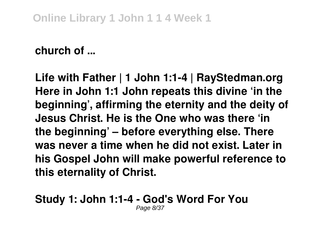### **church of ...**

**Life with Father | 1 John 1:1-4 | RayStedman.org Here in John 1:1 John repeats this divine 'in the beginning', affirming the eternity and the deity of Jesus Christ. He is the One who was there 'in the beginning' – before everything else. There was never a time when he did not exist. Later in his Gospel John will make powerful reference to this eternality of Christ.**

#### **Study 1: John 1:1-4 - God's Word For You** Page 8/37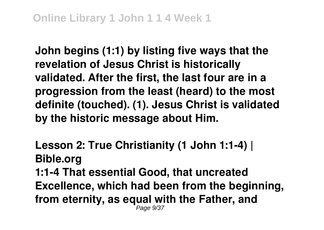**John begins (1:1) by listing five ways that the revelation of Jesus Christ is historically validated. After the first, the last four are in a progression from the least (heard) to the most definite (touched). (1). Jesus Christ is validated by the historic message about Him.**

**Lesson 2: True Christianity (1 John 1:1-4) | Bible.org 1:1-4 That essential Good, that uncreated Excellence, which had been from the beginning, from eternity, as equal with the Father, and** Page 9/37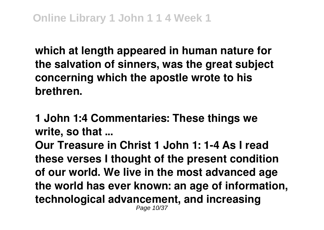**which at length appeared in human nature for the salvation of sinners, was the great subject concerning which the apostle wrote to his brethren.**

**1 John 1:4 Commentaries: These things we write, so that ...**

**Our Treasure in Christ 1 John 1: 1-4 As I read these verses I thought of the present condition of our world. We live in the most advanced age the world has ever known: an age of information, technological advancement, and increasing** Page 10/37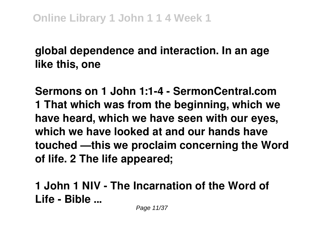### **global dependence and interaction. In an age like this, one**

**Sermons on 1 John 1:1-4 - SermonCentral.com 1 That which was from the beginning, which we have heard, which we have seen with our eyes, which we have looked at and our hands have touched —this we proclaim concerning the Word of life. 2 The life appeared;**

**1 John 1 NIV - The Incarnation of the Word of Life - Bible ...**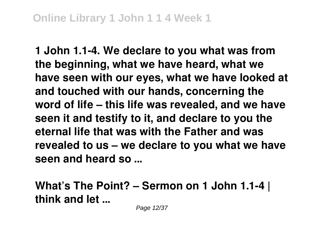**1 John 1.1-4. We declare to you what was from the beginning, what we have heard, what we have seen with our eyes, what we have looked at and touched with our hands, concerning the word of life – this life was revealed, and we have seen it and testify to it, and declare to you the eternal life that was with the Father and was revealed to us – we declare to you what we have seen and heard so ...**

**What's The Point? – Sermon on 1 John 1.1-4 | think and let ...**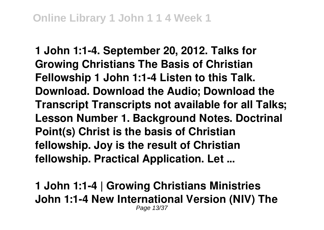**1 John 1:1-4. September 20, 2012. Talks for Growing Christians The Basis of Christian Fellowship 1 John 1:1-4 Listen to this Talk. Download. Download the Audio; Download the Transcript Transcripts not available for all Talks; Lesson Number 1. Background Notes. Doctrinal Point(s) Christ is the basis of Christian fellowship. Joy is the result of Christian fellowship. Practical Application. Let ...**

**1 John 1:1-4 | Growing Christians Ministries John 1:1-4 New International Version (NIV) The** Page 13/37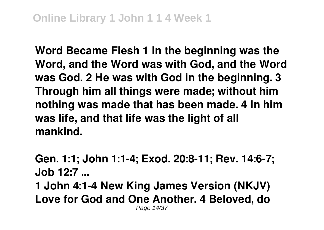**Word Became Flesh 1 In the beginning was the Word, and the Word was with God, and the Word was God. 2 He was with God in the beginning. 3 Through him all things were made; without him nothing was made that has been made. 4 In him was life, and that life was the light of all mankind.**

**Gen. 1:1; John 1:1-4; Exod. 20:8-11; Rev. 14:6-7; Job 12:7 ... 1 John 4:1-4 New King James Version (NKJV) Love for God and One Another. 4 Beloved, do** Page 14/37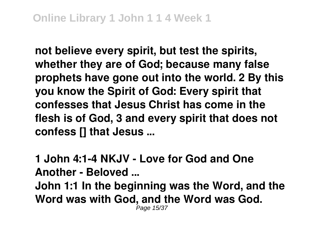**not believe every spirit, but test the spirits, whether they are of God; because many false prophets have gone out into the world. 2 By this you know the Spirit of God: Every spirit that confesses that Jesus Christ has come in the flesh is of God, 3 and every spirit that does not confess [] that Jesus ...**

**1 John 4:1-4 NKJV - Love for God and One Another - Beloved ... John 1:1 In the beginning was the Word, and the Word was with God, and the Word was God.** Page 15/37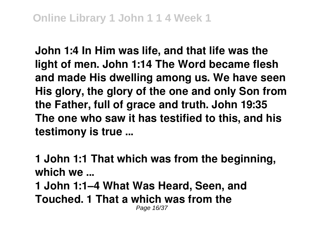**John 1:4 In Him was life, and that life was the light of men. John 1:14 The Word became flesh and made His dwelling among us. We have seen His glory, the glory of the one and only Son from the Father, full of grace and truth. John 19:35 The one who saw it has testified to this, and his testimony is true ...**

**1 John 1:1 That which was from the beginning, which we ...**

**1 John 1:1–4 What Was Heard, Seen, and Touched. 1 That a which was from the** Page 16/37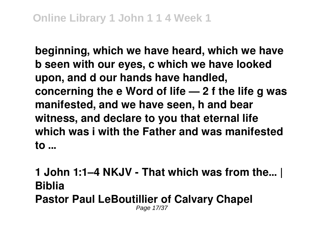**beginning, which we have heard, which we have b seen with our eyes, c which we have looked upon, and d our hands have handled, concerning the e Word of life — 2 f the life g was manifested, and we have seen, h and bear witness, and declare to you that eternal life which was i with the Father and was manifested to ...**

**1 John 1:1–4 NKJV - That which was from the… | Biblia Pastor Paul LeBoutillier of Calvary Chapel** Page 17/37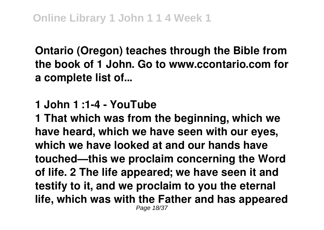**Ontario (Oregon) teaches through the Bible from the book of 1 John. Go to www.ccontario.com for a complete list of...**

**1 John 1 :1-4 - YouTube**

**1 That which was from the beginning, which we have heard, which we have seen with our eyes, which we have looked at and our hands have touched—this we proclaim concerning the Word of life. 2 The life appeared; we have seen it and testify to it, and we proclaim to you the eternal life, which was with the Father and has appeared** Page 18/37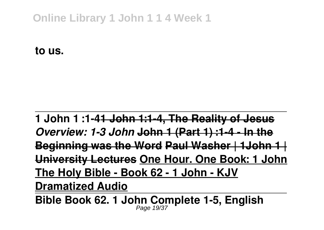### **Online Library 1 John 1 1 4 Week 1**

**to us.**

**1 John 1 :1-41 John 1:1-4, The Reality of Jesus** *Overview: 1-3 John* **John 1 (Part 1) :1-4 - In the Beginning was the Word Paul Washer | 1John 1 | University Lectures One Hour. One Book: 1 John The Holy Bible - Book 62 - 1 John - KJV Dramatized Audio**

**Bible Book 62. 1 John Complete 1-5, English** Page 19/37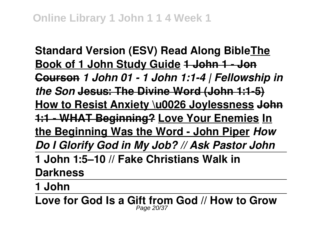**Standard Version (ESV) Read Along BibleThe Book of 1 John Study Guide 1 John 1 - Jon Courson** *1 John 01 - 1 John 1:1-4 | Fellowship in the Son* **Jesus: The Divine Word (John 1:1-5) How to Resist Anxiety \u0026 Joylessness John 1:1 - WHAT Beginning? Love Your Enemies In the Beginning Was the Word - John Piper** *How Do I Glorify God in My Job? // Ask Pastor John* **1 John 1:5–10 // Fake Christians Walk in Darkness**

**1 John**

**Love for God Is a Gift from God // How to Grow** Page 20/37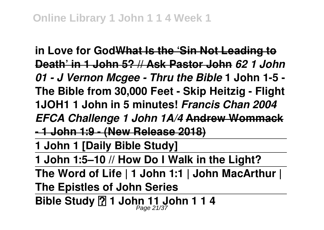**in Love for GodWhat Is the 'Sin Not Leading to Death' in 1 John 5? // Ask Pastor John** *62 1 John 01 - J Vernon Mcgee - Thru the Bible* **1 John 1-5 - The Bible from 30,000 Feet - Skip Heitzig - Flight 1JOH1 1 John in 5 minutes!** *Francis Chan 2004 EFCA Challenge 1 John 1A/4* **Andrew Wommack - 1 John 1:9 - (New Release 2018) 1 John 1 [Daily Bible Study] 1 John 1:5–10 // How Do I Walk in the Light? The Word of Life | 1 John 1:1 | John MacArthur | The Epistles of John Series Bible Study ⎮ 1 John 11 John 1 1 4** Page 21/37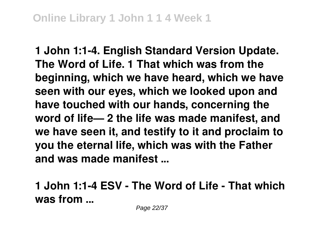**1 John 1:1-4. English Standard Version Update. The Word of Life. 1 That which was from the beginning, which we have heard, which we have seen with our eyes, which we looked upon and have touched with our hands, concerning the word of life— 2 the life was made manifest, and we have seen it, and testify to it and proclaim to you the eternal life, which was with the Father and was made manifest ...**

**1 John 1:1-4 ESV - The Word of Life - That which was from ...**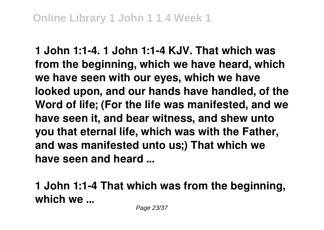**1 John 1:1-4. 1 John 1:1-4 KJV. That which was from the beginning, which we have heard, which we have seen with our eyes, which we have looked upon, and our hands have handled, of the Word of life; (For the life was manifested, and we have seen it, and bear witness, and shew unto you that eternal life, which was with the Father, and was manifested unto us;) That which we have seen and heard ...**

**1 John 1:1-4 That which was from the beginning, which we ...**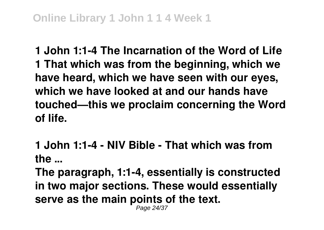**1 John 1:1-4 The Incarnation of the Word of Life 1 That which was from the beginning, which we have heard, which we have seen with our eyes, which we have looked at and our hands have touched—this we proclaim concerning the Word of life.**

**1 John 1:1-4 - NIV Bible - That which was from the ...**

**The paragraph, 1:1-4, essentially is constructed in two major sections. These would essentially serve as the main points of the text.** Page 24/37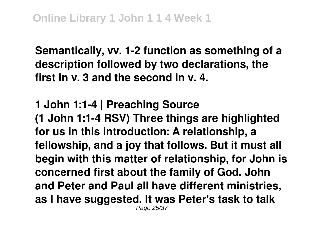**Semantically, vv. 1-2 function as something of a description followed by two declarations, the first in v. 3 and the second in v. 4.**

### **1 John 1:1-4 | Preaching Source (1 John 1:1-4 RSV) Three things are highlighted for us in this introduction: A relationship, a fellowship, and a joy that follows. But it must all begin with this matter of relationship, for John is concerned first about the family of God. John and Peter and Paul all have different ministries, as I have suggested. It was Peter's task to talk** Page 25/37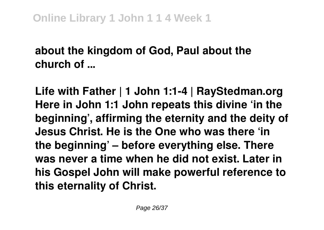## **about the kingdom of God, Paul about the church of ...**

**Life with Father | 1 John 1:1-4 | RayStedman.org Here in John 1:1 John repeats this divine 'in the beginning', affirming the eternity and the deity of Jesus Christ. He is the One who was there 'in the beginning' – before everything else. There was never a time when he did not exist. Later in his Gospel John will make powerful reference to this eternality of Christ.**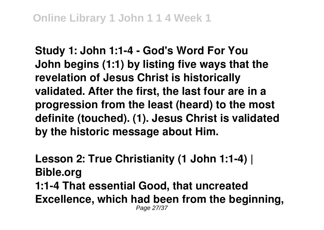**Study 1: John 1:1-4 - God's Word For You John begins (1:1) by listing five ways that the revelation of Jesus Christ is historically validated. After the first, the last four are in a progression from the least (heard) to the most definite (touched). (1). Jesus Christ is validated by the historic message about Him.**

**Lesson 2: True Christianity (1 John 1:1-4) | Bible.org 1:1-4 That essential Good, that uncreated Excellence, which had been from the beginning,** Page 27/37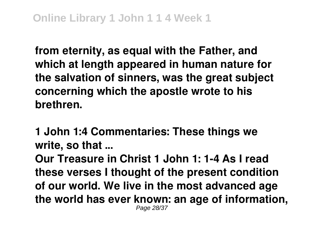**from eternity, as equal with the Father, and which at length appeared in human nature for the salvation of sinners, was the great subject concerning which the apostle wrote to his brethren.**

**1 John 1:4 Commentaries: These things we write, so that ...**

**Our Treasure in Christ 1 John 1: 1-4 As I read these verses I thought of the present condition of our world. We live in the most advanced age the world has ever known: an age of information,** Page 28/37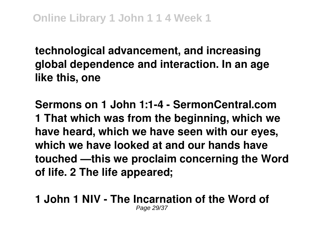**technological advancement, and increasing global dependence and interaction. In an age like this, one**

**Sermons on 1 John 1:1-4 - SermonCentral.com 1 That which was from the beginning, which we have heard, which we have seen with our eyes, which we have looked at and our hands have touched —this we proclaim concerning the Word of life. 2 The life appeared;**

### **1 John 1 NIV - The Incarnation of the Word of** Page 29/37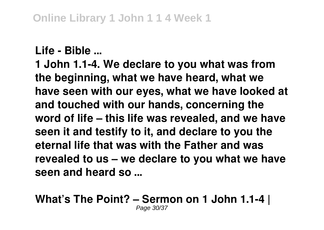### **Life - Bible ...**

**1 John 1.1-4. We declare to you what was from the beginning, what we have heard, what we have seen with our eyes, what we have looked at and touched with our hands, concerning the word of life – this life was revealed, and we have seen it and testify to it, and declare to you the eternal life that was with the Father and was revealed to us – we declare to you what we have seen and heard so ...**

#### **What's The Point? – Sermon on 1 John 1.1-4 |** Page 30/37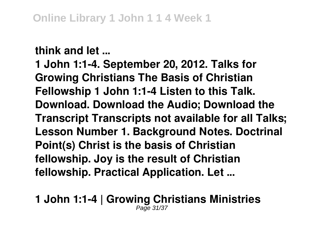**think and let ...**

**1 John 1:1-4. September 20, 2012. Talks for Growing Christians The Basis of Christian Fellowship 1 John 1:1-4 Listen to this Talk. Download. Download the Audio; Download the Transcript Transcripts not available for all Talks; Lesson Number 1. Background Notes. Doctrinal Point(s) Christ is the basis of Christian fellowship. Joy is the result of Christian fellowship. Practical Application. Let ...**

**1 John 1:1-4 | Growing Christians Ministries** Page 31/37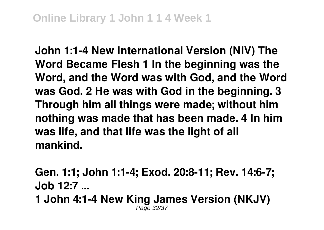**John 1:1-4 New International Version (NIV) The Word Became Flesh 1 In the beginning was the Word, and the Word was with God, and the Word was God. 2 He was with God in the beginning. 3 Through him all things were made; without him nothing was made that has been made. 4 In him was life, and that life was the light of all mankind.**

**Gen. 1:1; John 1:1-4; Exod. 20:8-11; Rev. 14:6-7; Job 12:7 ... 1 John 4:1-4 New King James Version (NKJV)**

Page 32/37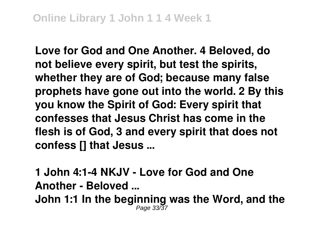**Love for God and One Another. 4 Beloved, do not believe every spirit, but test the spirits, whether they are of God; because many false prophets have gone out into the world. 2 By this you know the Spirit of God: Every spirit that confesses that Jesus Christ has come in the flesh is of God, 3 and every spirit that does not confess [] that Jesus ...**

**1 John 4:1-4 NKJV - Love for God and One Another - Beloved ...**

**John 1:1 In the beginning was the Word, and the** Page 33/37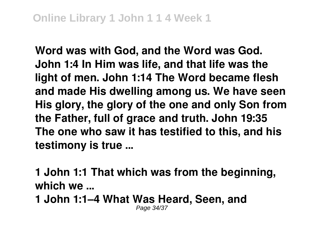**Word was with God, and the Word was God. John 1:4 In Him was life, and that life was the light of men. John 1:14 The Word became flesh and made His dwelling among us. We have seen His glory, the glory of the one and only Son from the Father, full of grace and truth. John 19:35 The one who saw it has testified to this, and his testimony is true ...**

**1 John 1:1 That which was from the beginning, which we ...**

**1 John 1:1–4 What Was Heard, Seen, and** Page 34/37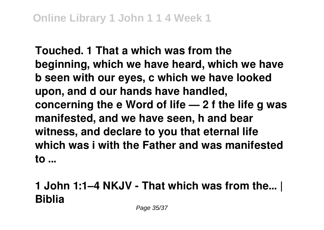**Touched. 1 That a which was from the beginning, which we have heard, which we have b seen with our eyes, c which we have looked upon, and d our hands have handled, concerning the e Word of life — 2 f the life g was manifested, and we have seen, h and bear witness, and declare to you that eternal life which was i with the Father and was manifested to ...**

## **1 John 1:1–4 NKJV - That which was from the… | Biblia**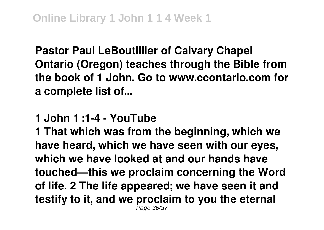**Pastor Paul LeBoutillier of Calvary Chapel Ontario (Oregon) teaches through the Bible from the book of 1 John. Go to www.ccontario.com for a complete list of...**

**1 John 1 :1-4 - YouTube**

**1 That which was from the beginning, which we have heard, which we have seen with our eyes, which we have looked at and our hands have touched—this we proclaim concerning the Word of life. 2 The life appeared; we have seen it and testify to it, and we proclaim to you the eternal** Page 36/37